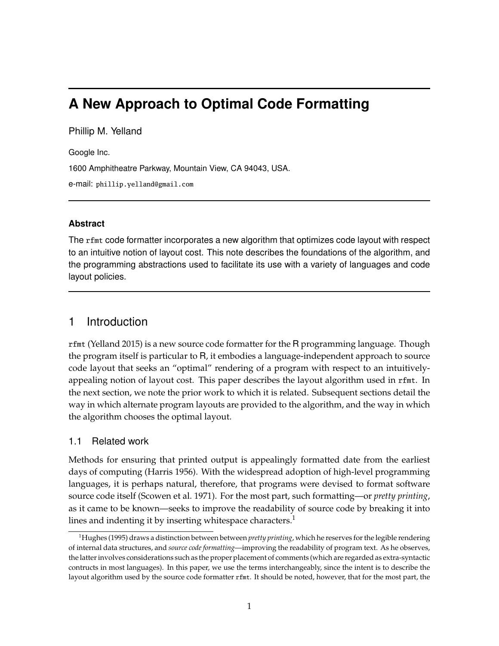# **A New Approach to Optimal Code Formatting**

Phillip M. Yelland

Google Inc.

1600 Amphitheatre Parkway, Mountain View, CA 94043, USA.

e-mail: phillip.yelland@gmail.com

### **Abstract**

The rfmt code formatter incorporates a new algorithm that optimizes code layout with respect to an intuitive notion of layout cost. This note describes the foundations of the algorithm, and the programming abstractions used to facilitate its use with a variety of languages and code layout policies.

## 1 Introduction

rfmt (Yelland 2015) is a new source code formatter for the R programming language. Though the program itself is particular to R, it embodies a language-independent approach to source code layout that seeks an "optimal" rendering of a program with respect to an intuitivelyappealing notion of layout cost. This paper describes the layout algorithm used in rfmt. In the next section, we note the prior work to which it is related. Subsequent sections detail the way in which alternate program layouts are provided to the algorithm, and the way in which the algorithm chooses the optimal layout.

### 1.1 Related work

Methods for ensuring that printed output is appealingly formatted date from the earliest days of computing (Harris 1956). With the widespread adoption of high-level programming languages, it is perhaps natural, therefore, that programs were devised to format software source code itself (Scowen et al. 1971). For the most part, such formatting—or *pretty printing*, as it came to be known—seeks to improve the readability of source code by breaking it into lines and indenting it by inserting whitespace characters.<sup>1</sup>

<sup>1</sup>Hughes (1995) draws a distinction between between *pretty printing*, which he reserves for the legible rendering of internal data structures, and *source code formatting*—improving the readability of program text. As he observes, the latter involves considerations such as the proper placement of comments (which are regarded as extra-syntactic contructs in most languages). In this paper, we use the terms interchangeably, since the intent is to describe the layout algorithm used by the source code formatter rfmt. It should be noted, however, that for the most part, the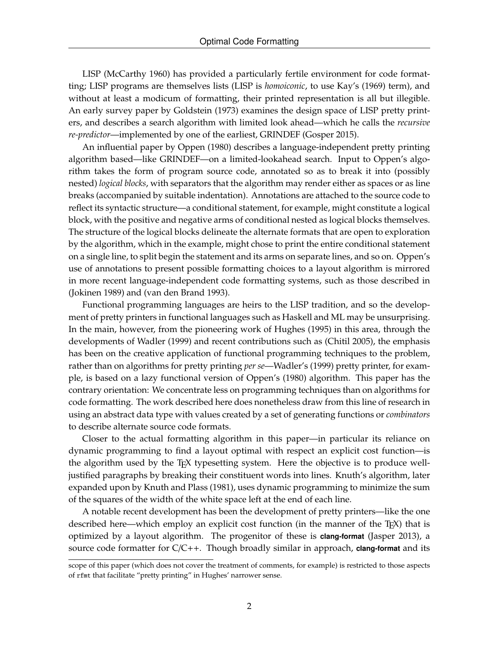LISP (McCarthy 1960) has provided a particularly fertile environment for code formatting; LISP programs are themselves lists (LISP is *homoiconic*, to use Kay's (1969) term), and without at least a modicum of formatting, their printed representation is all but illegible. An early survey paper by Goldstein (1973) examines the design space of LISP pretty printers, and describes a search algorithm with limited look ahead—which he calls the *recursive re-predictor*—implemented by one of the earliest, GRINDEF (Gosper 2015).

An influential paper by Oppen (1980) describes a language-independent pretty printing algorithm based—like GRINDEF—on a limited-lookahead search. Input to Oppen's algorithm takes the form of program source code, annotated so as to break it into (possibly nested) *logical blocks*, with separators that the algorithm may render either as spaces or as line breaks (accompanied by suitable indentation). Annotations are attached to the source code to reflect its syntactic structure—a conditional statement, for example, might constitute a logical block, with the positive and negative arms of conditional nested as logical blocks themselves. The structure of the logical blocks delineate the alternate formats that are open to exploration by the algorithm, which in the example, might chose to print the entire conditional statement on a single line, to split begin the statement and its arms on separate lines, and so on. Oppen's use of annotations to present possible formatting choices to a layout algorithm is mirrored in more recent language-independent code formatting systems, such as those described in (Jokinen 1989) and (van den Brand 1993).

Functional programming languages are heirs to the LISP tradition, and so the development of pretty printers in functional languages such as Haskell and ML may be unsurprising. In the main, however, from the pioneering work of Hughes (1995) in this area, through the developments of Wadler (1999) and recent contributions such as (Chitil 2005), the emphasis has been on the creative application of functional programming techniques to the problem, rather than on algorithms for pretty printing *per se*—Wadler's (1999) pretty printer, for example, is based on a lazy functional version of Oppen's (1980) algorithm. This paper has the contrary orientation: We concentrate less on programming techniques than on algorithms for code formatting. The work described here does nonetheless draw from this line of research in using an abstract data type with values created by a set of generating functions or *combinators* to describe alternate source code formats.

Closer to the actual formatting algorithm in this paper—in particular its reliance on dynamic programming to find a layout optimal with respect an explicit cost function—is the algorithm used by the T<sub>E</sub>X typesetting system. Here the objective is to produce welljustified paragraphs by breaking their constituent words into lines. Knuth's algorithm, later expanded upon by Knuth and Plass (1981), uses dynamic programming to minimize the sum of the squares of the width of the white space left at the end of each line.

A notable recent development has been the development of pretty printers—like the one described here—which employ an explicit cost function (in the manner of the TEX) that is optimized by a layout algorithm. The progenitor of these is **clang-format** (Jasper 2013), a source code formatter for C/C++. Though broadly similar in approach, **clang-format** and its

scope of this paper (which does not cover the treatment of comments, for example) is restricted to those aspects of rfmt that facilitate "pretty printing" in Hughes' narrower sense.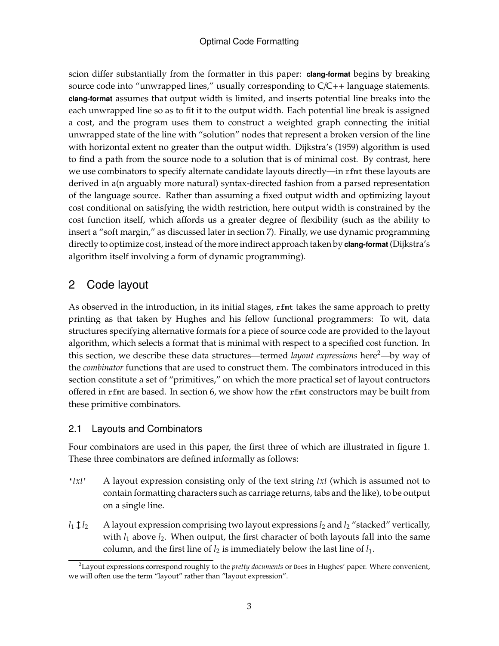scion differ substantially from the formatter in this paper: **clang-format** begins by breaking source code into "unwrapped lines," usually corresponding to  $C/C++$  language statements. **clang-format** assumes that output width is limited, and inserts potential line breaks into the each unwrapped line so as to fit it to the output width. Each potential line break is assigned a cost, and the program uses them to construct a weighted graph connecting the initial unwrapped state of the line with "solution" nodes that represent a broken version of the line with horizontal extent no greater than the output width. Dijkstra's (1959) algorithm is used to find a path from the source node to a solution that is of minimal cost. By contrast, here we use combinators to specify alternate candidate layouts directly—in rfmt these layouts are derived in a(n arguably more natural) syntax-directed fashion from a parsed representation of the language source. Rather than assuming a fixed output width and optimizing layout cost conditional on satisfying the width restriction, here output width is constrained by the cost function itself, which affords us a greater degree of flexibility (such as the ability to insert a "soft margin," as discussed later in section 7). Finally, we use dynamic programming directly to optimize cost, instead of the more indirect approach taken by **clang-format** (Dijkstra's algorithm itself involving a form of dynamic programming).

# 2 Code layout

As observed in the introduction, in its initial stages, rfmt takes the same approach to pretty printing as that taken by Hughes and his fellow functional programmers: To wit, data structures specifying alternative formats for a piece of source code are provided to the layout algorithm, which selects a format that is minimal with respect to a specified cost function. In this section, we describe these data structures—termed *layout expressions* here2—by way of the *combinator* functions that are used to construct them. The combinators introduced in this section constitute a set of "primitives," on which the more practical set of layout contructors offered in rfmt are based. In section 6, we show how the rfmt constructors may be built from these primitive combinators.

### 2.1 Layouts and Combinators

Four combinators are used in this paper, the first three of which are illustrated in figure 1. These three combinators are defined informally as follows:

- **'***txt***'** A layout expression consisting only of the text string *txt* (which is assumed not to contain formatting characters such as carriage returns, tabs and the like), to be output on a single line.
- $l_1 \mathcal{I}_2$  A layout expression comprising two layout expressions  $l_2$  and  $l_2$  "stacked" vertically, with  $l_1$  above  $l_2$ . When output, the first character of both layouts fall into the same column, and the first line of  $l_2$  is immediately below the last line of  $l_1$ .

<sup>2</sup>Layout expressions correspond roughly to the *pretty documents* or Docs in Hughes' paper. Where convenient, we will often use the term "layout" rather than "layout expression".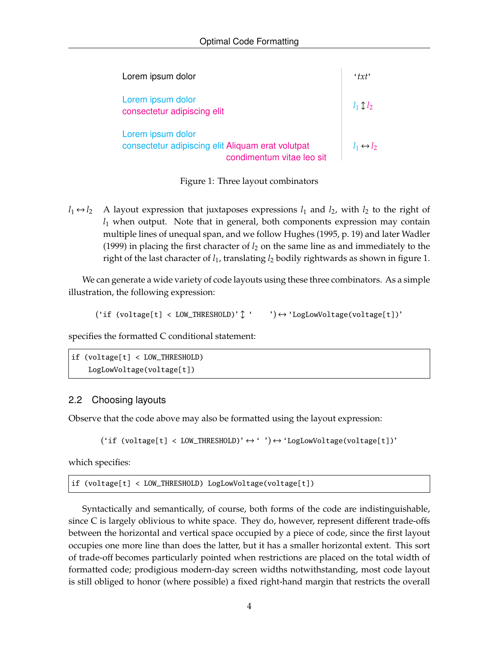| Lorem ipsum dolor                                                                                   | $'$ txt'                  |
|-----------------------------------------------------------------------------------------------------|---------------------------|
| Lorem ipsum dolor<br>consectetur adipiscing elit                                                    | $l_1 \uparrow l_2$        |
| Lorem ipsum dolor<br>consectetur adipiscing elit Aliquam erat volutpat<br>condimentum vitae leo sit | $l_1 \leftrightarrow l_2$ |

Figure 1: Three layout combinators

 $l_1 \leftrightarrow l_2$  A layout expression that juxtaposes expressions  $l_1$  and  $l_2$ , with  $l_2$  to the right of *l*<sup>1</sup> when output. Note that in general, both components expression may contain multiple lines of unequal span, and we follow Hughes (1995, p. 19) and later Wadler (1999) in placing the first character of  $l_2$  on the same line as and immediately to the right of the last character of *l*1, translating *l*<sup>2</sup> bodily rightwards as shown in figure 1.

We can generate a wide variety of code layouts using these three combinators. As a simple illustration, the following expression:

 $('if (voltage[t] < LOW_THRESHOLD)'] ' ' ' \leftrightarrow 'LogLowVoltage(voltage[t])'$ 

specifies the formatted C conditional statement:

```
if (voltage[t] < LOW_THRESHOLD)
    LogLowVoltage(voltage[t])
```
### 2.2 Choosing layouts

Observe that the code above may also be formatted using the layout expression:

```
('if (voltage[t] < LOW_THRESHOLD)' \leftrightarrow '') \leftrightarrow 'LogLowVoltage(voltage[t])'
```
which specifies:

if (voltage[t] < LOW\_THRESHOLD) LogLowVoltage(voltage[t])

Syntactically and semantically, of course, both forms of the code are indistinguishable, since C is largely oblivious to white space. They do, however, represent different trade-offs between the horizontal and vertical space occupied by a piece of code, since the first layout occupies one more line than does the latter, but it has a smaller horizontal extent. This sort of trade-off becomes particularly pointed when restrictions are placed on the total width of formatted code; prodigious modern-day screen widths notwithstanding, most code layout is still obliged to honor (where possible) a fixed right-hand margin that restricts the overall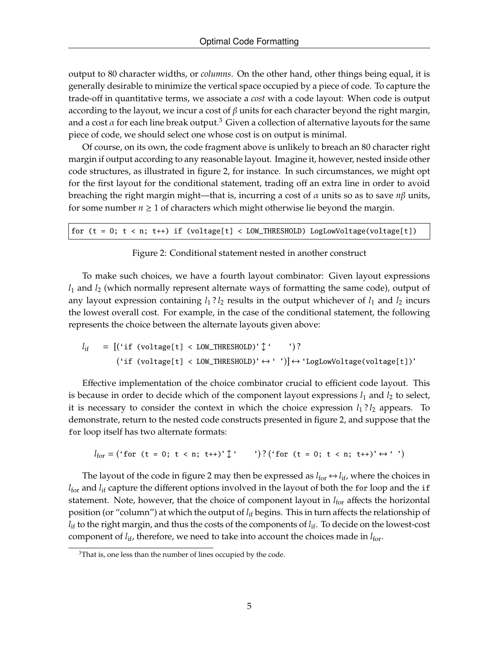output to 80 character widths, or *columns*. On the other hand, other things being equal, it is generally desirable to minimize the vertical space occupied by a piece of code. To capture the trade-off in quantitative terms, we associate a *cost* with a code layout: When code is output according to the layout, we incur a cost of  $\beta$  units for each character beyond the right margin, and a cost  $\alpha$  for each line break output.<sup>3</sup> Given a collection of alternative layouts for the same piece of code, we should select one whose cost is on output is minimal.

Of course, on its own, the code fragment above is unlikely to breach an 80 character right margin if output according to any reasonable layout. Imagine it, however, nested inside other code structures, as illustrated in figure 2, for instance. In such circumstances, we might opt for the first layout for the conditional statement, trading off an extra line in order to avoid breaching the right margin might—that is, incurring a cost of α units so as to save *n*β units, for some number  $n \geq 1$  of characters which might otherwise lie beyond the margin.

for  $(t = 0; t < n; t++)$  if  $(voltage[t] < LOW\_THESHOLD)$  LogLowVoltage(voltage[t])

#### Figure 2: Conditional statement nested in another construct

To make such choices, we have a fourth layout combinator: Given layout expressions *l*<sup>1</sup> and *l*<sup>2</sup> (which normally represent alternate ways of formatting the same code), output of any layout expression containing  $l_1$ ?  $l_2$  results in the output whichever of  $l_1$  and  $l_2$  incurs the lowest overall cost. For example, in the case of the conditional statement, the following represents the choice between the alternate layouts given above:

 $l_{if} = [('if (voltage[t] < LOW_THRESHOLD)']'$  ')?  $('if (voltage[t] < LOW_THRESHOLD)' \leftrightarrow '')] \leftrightarrow 'LogLowVoltage(voltage[t])'$ 

Effective implementation of the choice combinator crucial to efficient code layout. This is because in order to decide which of the component layout expressions  $l_1$  and  $l_2$  to select, it is necessary to consider the context in which the choice expression  $l_1$ ? $l_2$  appears. To demonstrate, return to the nested code constructs presented in figure 2, and suppose that the for loop itself has two alternate formats:

$$
l_{\text{for}} = (\text{`for } (t = 0; t < n; t++)' \updownarrow ' )? (\text{`for } (t = 0; t < n; t++)' \leftrightarrow ' ' )
$$

The layout of the code in figure 2 may then be expressed as  $l_{\text{for}} \leftrightarrow l_{\text{if}}$ , where the choices in *l*<sub>for</sub> and *l*<sub>if</sub> capture the different options involved in the layout of both the for loop and the if statement. Note, however, that the choice of component layout in  $l_{\text{for}}$  affects the horizontal position (or "column") at which the output of *l*if begins. This in turn affects the relationship of *l*<sub>if</sub> to the right margin, and thus the costs of the components of *l*<sub>if</sub>. To decide on the lowest-cost component of  $l_{if}$ , therefore, we need to take into account the choices made in  $l_{for}$ .

<sup>&</sup>lt;sup>3</sup>That is, one less than the number of lines occupied by the code.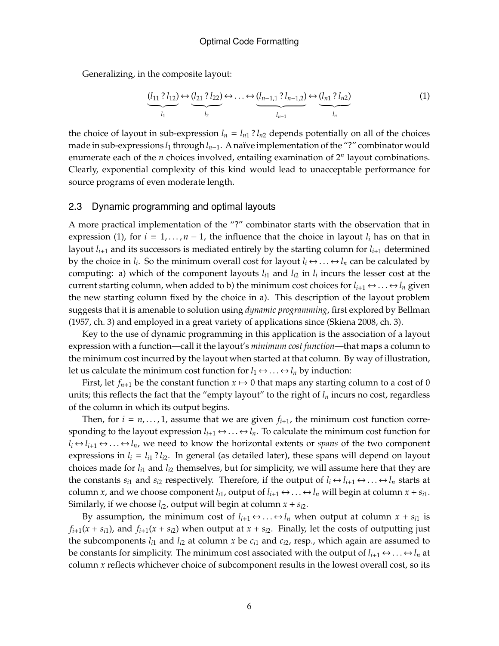Generalizing, in the composite layout:

$$
(\underbrace{l_{11} ? l_{12}}_{l_1}) \leftrightarrow (\underbrace{l_{21} ? l_{22}}_{l_2}) \leftrightarrow \dots \leftrightarrow (\underbrace{l_{n-1,1} ? l_{n-1,2}}_{l_{n-1}}) \leftrightarrow (\underbrace{l_{n1} ? l_{n2}}_{l_n})
$$
(1)

the choice of layout in sub-expression  $l_n = l_{n1}$ ?  $l_{n2}$  depends potentially on all of the choices made in sub-expressions *l*<sup>1</sup> through *ln*−1. A naïve implementation of the "?" combinator would enumerate each of the *n* choices involved, entailing examination of 2*<sup>n</sup>* layout combinations. Clearly, exponential complexity of this kind would lead to unacceptable performance for source programs of even moderate length.

#### 2.3 Dynamic programming and optimal layouts

A more practical implementation of the "?" combinator starts with the observation that in expression (1), for  $i = 1, ..., n - 1$ , the influence that the choice in layout  $l_i$  has on that in layout  $l_{i+1}$  and its successors is mediated entirely by the starting column for  $l_{i+1}$  determined by the choice in  $l_i$ . So the minimum overall cost for layout  $l_i \leftrightarrow ... \leftrightarrow l_n$  can be calculated by computing: a) which of the component layouts  $l_{i1}$  and  $l_{i2}$  in  $l_i$  incurs the lesser cost at the current starting column, when added to b) the minimum cost choices for  $l_{i+1} \leftrightarrow ... \leftrightarrow l_n$  given the new starting column fixed by the choice in a). This description of the layout problem suggests that it is amenable to solution using *dynamic programming*, first explored by Bellman (1957, ch. 3) and employed in a great variety of applications since (Skiena 2008, ch. 3).

Key to the use of dynamic programming in this application is the association of a layout expression with a function—call it the layout's *minimum cost function*—that maps a column to the minimum cost incurred by the layout when started at that column. By way of illustration, let us calculate the minimum cost function for  $l_1 \leftrightarrow ... \leftrightarrow l_n$  by induction:

First, let  $f_{n+1}$  be the constant function  $x \mapsto 0$  that maps any starting column to a cost of 0 units; this reflects the fact that the "empty layout" to the right of  $l_n$  incurs no cost, regardless of the column in which its output begins.

Then, for  $i = n, \ldots, 1$ , assume that we are given  $f_{i+1}$ , the minimum cost function corresponding to the layout expression  $l_{i+1} \leftrightarrow \ldots \leftrightarrow l_n$ . To calculate the minimum cost function for  $l_i \leftrightarrow l_{i+1} \leftrightarrow \ldots \leftrightarrow l_n$ , we need to know the horizontal extents or *spans* of the two component expressions in  $l_i = l_{i1}$ ?  $l_{i2}$ . In general (as detailed later), these spans will depend on layout choices made for *li*<sup>1</sup> and *li*<sup>2</sup> themselves, but for simplicity, we will assume here that they are the constants  $s_{i1}$  and  $s_{i2}$  respectively. Therefore, if the output of  $l_i \leftrightarrow l_{i+1} \leftrightarrow \dots \leftrightarrow l_n$  starts at column *x*, and we choose component  $l_{i1}$ , output of  $l_{i+1} \leftrightarrow ... \leftrightarrow l_n$  will begin at column  $x + s_{i1}$ . Similarly, if we choose  $l_{i2}$ , output will begin at column  $x + s_{i2}$ .

By assumption, the minimum cost of  $l_{i+1} \leftrightarrow \ldots \leftrightarrow l_n$  when output at column  $x + s_{i1}$  is  $f_{i+1}(x + s_i)$ , and  $f_{i+1}(x + s_i)$  when output at  $x + s_i$ . Finally, let the costs of outputting just the subcomponents  $l_{i1}$  and  $l_{i2}$  at column  $x$  be  $c_{i1}$  and  $c_{i2}$ , resp., which again are assumed to be constants for simplicity. The minimum cost associated with the output of  $l_{i+1} \leftrightarrow \dots \leftrightarrow l_n$  at column *x* reflects whichever choice of subcomponent results in the lowest overall cost, so its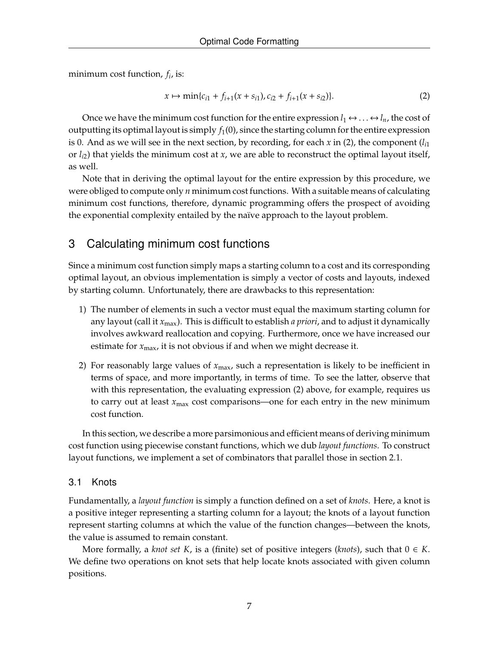minimum cost function, *f<sup>i</sup>* , is:

$$
x \mapsto \min\{c_{i1} + f_{i+1}(x + s_{i1}), c_{i2} + f_{i+1}(x + s_{i2})\}.
$$
 (2)

Once we have the minimum cost function for the entire expression  $l_1 \leftrightarrow \dots \leftrightarrow l_n$ , the cost of outputting its optimal layout is simply  $f_1(0)$ , since the starting column for the entire expression is 0. And as we will see in the next section, by recording, for each  $x$  in (2), the component ( $l_{i1}$ ) or *li*2) that yields the minimum cost at *x*, we are able to reconstruct the optimal layout itself, as well.

Note that in deriving the optimal layout for the entire expression by this procedure, we were obliged to compute only *n* minimum cost functions. With a suitable means of calculating minimum cost functions, therefore, dynamic programming offers the prospect of avoiding the exponential complexity entailed by the naïve approach to the layout problem.

# 3 Calculating minimum cost functions

Since a minimum cost function simply maps a starting column to a cost and its corresponding optimal layout, an obvious implementation is simply a vector of costs and layouts, indexed by starting column. Unfortunately, there are drawbacks to this representation:

- 1) The number of elements in such a vector must equal the maximum starting column for any layout (call it *x*max). This is difficult to establish *a priori*, and to adjust it dynamically involves awkward reallocation and copying. Furthermore, once we have increased our estimate for  $x_{\text{max}}$ , it is not obvious if and when we might decrease it.
- 2) For reasonably large values of *x*max, such a representation is likely to be inefficient in terms of space, and more importantly, in terms of time. To see the latter, observe that with this representation, the evaluating expression (2) above, for example, requires us to carry out at least *x*max cost comparisons—one for each entry in the new minimum cost function.

In this section, we describe a more parsimonious and efficient means of deriving minimum cost function using piecewise constant functions, which we dub *layout functions*. To construct layout functions, we implement a set of combinators that parallel those in section 2.1.

### 3.1 Knots

Fundamentally, a *layout function* is simply a function defined on a set of *knots*. Here, a knot is a positive integer representing a starting column for a layout; the knots of a layout function represent starting columns at which the value of the function changes—between the knots, the value is assumed to remain constant.

More formally, a *knot set* K, is a (finite) set of positive integers (*knots*), such that  $0 \in K$ . We define two operations on knot sets that help locate knots associated with given column positions.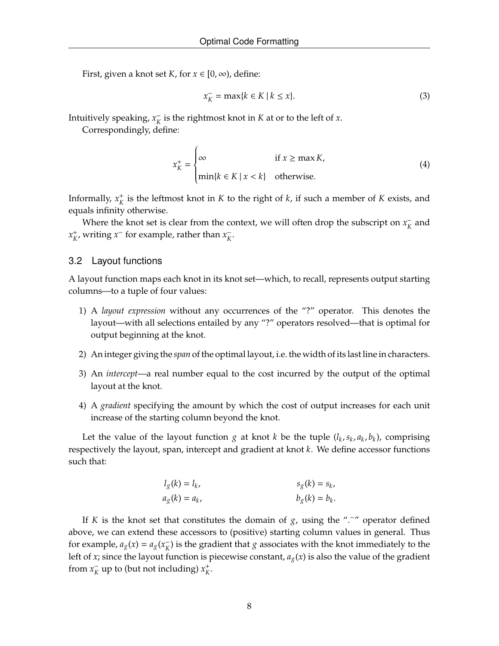First, given a knot set *K*, for  $x \in [0, \infty)$ , define:

$$
x_K^- = \max\{k \in K \mid k \le x\}.\tag{3}
$$

Intuitively speaking,  $x_k^ \frac{1}{K}$  is the rightmost knot in *K* at or to the left of *x*.

Correspondingly, define:

$$
x_K^+ = \begin{cases} \infty & \text{if } x \ge \max K, \\ \min\{k \in K \mid x < k\} & \text{otherwise.} \end{cases} \tag{4}
$$

Informally,  $x_K^+$  is the leftmost knot in *K* to the right of *k*, if such a member of *K* exists, and equals infinity otherwise.

Where the knot set is clear from the context, we will often drop the subscript on  $x_k^ \bar{K}$  and  $x_K^+$ , writing  $x^-$  for example, rather than  $x_K^-$ *K* .

#### 3.2 Layout functions

A layout function maps each knot in its knot set—which, to recall, represents output starting columns—to a tuple of four values:

- 1) A *layout expression* without any occurrences of the "?" operator. This denotes the layout—with all selections entailed by any "?" operators resolved—that is optimal for output beginning at the knot.
- 2) An integer giving the *span* of the optimal layout, i.e. the width of its last line in characters.
- 3) An *intercept*—a real number equal to the cost incurred by the output of the optimal layout at the knot.
- 4) A *gradient* specifying the amount by which the cost of output increases for each unit increase of the starting column beyond the knot.

Let the value of the layout function  $g$  at knot  $k$  be the tuple  $(l_k, s_k, a_k, b_k)$ , comprising respectively the layout, span, intercept and gradient at knot *k*. We define accessor functions such that:

$$
l_g(k) = l_k, \t s_g(k) = s_k, a_g(k) = a_k, \t b_g(k) = b_k.
$$

If *K* is the knot set that constitutes the domain of *g*, using the " $\cdot$ " operator defined above, we can extend these accessors to (positive) starting column values in general. Thus for example,  $a_g(x) = a_g(x)$  $\bar{K}_{K}$ ) is the gradient that  $g$  associates with the knot immediately to the left of *x*; since the layout function is piecewise constant,  $a_g(x)$  is also the value of the gradient from  $x_k^ \bar{K}$  up to (but not including)  $x_K^+$ .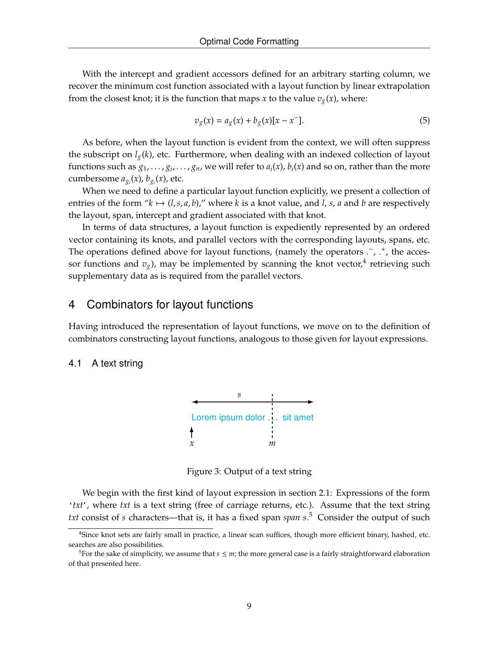With the intercept and gradient accessors defined for an arbitrary starting column, we recover the minimum cost function associated with a layout function by linear extrapolation from the closest knot; it is the function that maps *x* to the value  $v_g(x)$ , where:

$$
v_g(x) = a_g(x) + b_g(x)[x - x^-].
$$
 (5)

As before, when the layout function is evident from the context, we will often suppress the subscript on  $l_g(k)$ , etc. Furthermore, when dealing with an indexed collection of layout functions such as  $g_1,\ldots,g_i,\ldots,g_n$ , we will refer to  $a_i(x)$ ,  $b_i(x)$  and so on, rather than the more cumbersome  $a_{g_i}(x)$ ,  $b_{g_i}(x)$ , etc.

When we need to define a particular layout function explicitly, we present a collection of entries of the form " $k \mapsto (l, s, a, b)$ ," where k is a knot value, and l, s, a and b are respectively the layout, span, intercept and gradient associated with that knot.

In terms of data structures, a layout function is expediently represented by an ordered vector containing its knots, and parallel vectors with the corresponding layouts, spans, etc. The operations defined above for layout functions, (namely the operators  $\cdot$ ,  $\cdot$ , the accessor functions and  $v_g$ ), may be implemented by scanning the knot vector,<sup>4</sup> retrieving such supplementary data as is required from the parallel vectors.

### 4 Combinators for layout functions

Having introduced the representation of layout functions, we move on to the definition of combinators constructing layout functions, analogous to those given for layout expressions.

#### 4.1 A text string



Figure 3: Output of a text string

We begin with the first kind of layout expression in section 2.1: Expressions of the form '*txt*', where *txt* is a text string (free of carriage returns, etc.). Assume that the text string *txt* consist of *s* characters—that is, it has a fixed span *span s*. <sup>5</sup> Consider the output of such

<sup>4</sup>Since knot sets are fairly small in practice, a linear scan suffices, though more efficient binary, hashed, etc. searches are also possibilities.

<sup>&</sup>lt;sup>5</sup>For the sake of simplicity, we assume that  $s \leq m$ ; the more general case is a fairly straightforward elaboration of that presented here.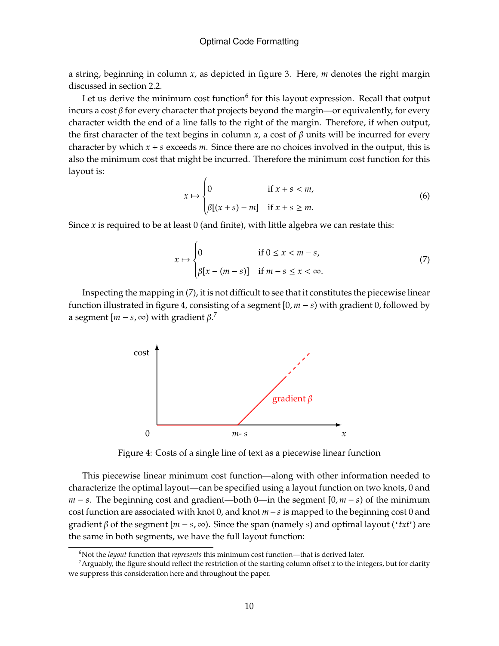a string, beginning in column *x*, as depicted in figure 3. Here, *m* denotes the right margin discussed in section 2.2.

Let us derive the minimum cost function<sup>6</sup> for this layout expression. Recall that output incurs a cost  $\beta$  for every character that projects beyond the margin—or equivalently, for every character width the end of a line falls to the right of the margin. Therefore, if when output, the first character of the text begins in column *x*, a cost of  $\beta$  units will be incurred for every character by which  $x + s$  exceeds  $m$ . Since there are no choices involved in the output, this is also the minimum cost that might be incurred. Therefore the minimum cost function for this layout is:

$$
x \mapsto \begin{cases} 0 & \text{if } x + s < m, \\ \beta[(x + s) - m] & \text{if } x + s \ge m. \end{cases} \tag{6}
$$

Since  $x$  is required to be at least  $0$  (and finite), with little algebra we can restate this:

$$
x \mapsto \begin{cases} 0 & \text{if } 0 \le x < m - s, \\ \beta[x - (m - s)] & \text{if } m - s \le x < \infty. \end{cases}
$$
 (7)

Inspecting the mapping in (7), it is not difficult to see that it constitutes the piecewise linear function illustrated in figure 4, consisting of a segment [0, *m* − *s*) with gradient 0, followed by a segment  $[m - s, \infty)$  with gradient  $\beta$ .<sup>7</sup>



Figure 4: Costs of a single line of text as a piecewise linear function

This piecewise linear minimum cost function—along with other information needed to characterize the optimal layout—can be specified using a layout function on two knots, 0 and *m* − *s*. The beginning cost and gradient—both 0—in the segment [0, *m* − *s*) of the minimum cost function are associated with knot 0, and knot *m*−*s* is mapped to the beginning cost 0 and gradient β of the segment [*m* − *s*, ∞). Since the span (namely *s*) and optimal layout ('*txt*') are the same in both segments, we have the full layout function:

<sup>6</sup>Not the *layout* function that *represents* this minimum cost function—that is derived later.

<sup>&</sup>lt;sup>7</sup>Arguably, the figure should reflect the restriction of the starting column offset  $x$  to the integers, but for clarity we suppress this consideration here and throughout the paper.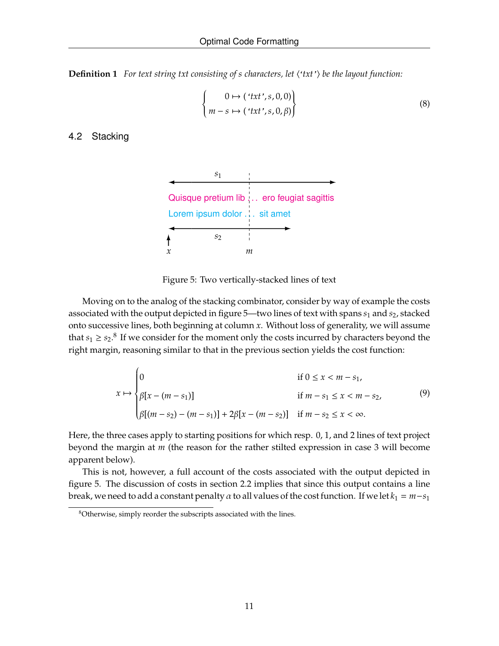**Definition 1** *For text string txt consisting of s characters, let*  $\langle \text{f} \cdot \text{f} \cdot \text{f} \rangle$  *be the layout function:* 

$$
\begin{cases}\n0 \mapsto (\text{'}txt', s, 0, 0) \\
m - s \mapsto (\text{'}txt', s, 0, \beta)\n\end{cases}
$$
\n(8)

### 4.2 Stacking



Figure 5: Two vertically-stacked lines of text

Moving on to the analog of the stacking combinator, consider by way of example the costs associated with the output depicted in figure 5—two lines of text with spans *s*<sup>1</sup> and *s*2, stacked onto successive lines, both beginning at column *x*. Without loss of generality, we will assume that  $s_1 \geq s_2$ .<sup>8</sup> If we consider for the moment only the costs incurred by characters beyond the right margin, reasoning similar to that in the previous section yields the cost function:

$$
x \mapsto \begin{cases} 0 & \text{if } 0 \le x < m - s_1, \\ \beta[x - (m - s_1)] & \text{if } m - s_1 \le x < m - s_2, \\ \beta[(m - s_2) - (m - s_1)] + 2\beta[x - (m - s_2)] & \text{if } m - s_2 \le x < \infty. \end{cases}
$$
(9)

Here, the three cases apply to starting positions for which resp. 0, 1, and 2 lines of text project beyond the margin at *m* (the reason for the rather stilted expression in case 3 will become apparent below).

This is not, however, a full account of the costs associated with the output depicted in figure 5. The discussion of costs in section 2.2 implies that since this output contains a line break, we need to add a constant penalty  $\alpha$  to all values of the cost function. If we let  $k_1 = m - s_1$ 

<sup>&</sup>lt;sup>8</sup>Otherwise, simply reorder the subscripts associated with the lines.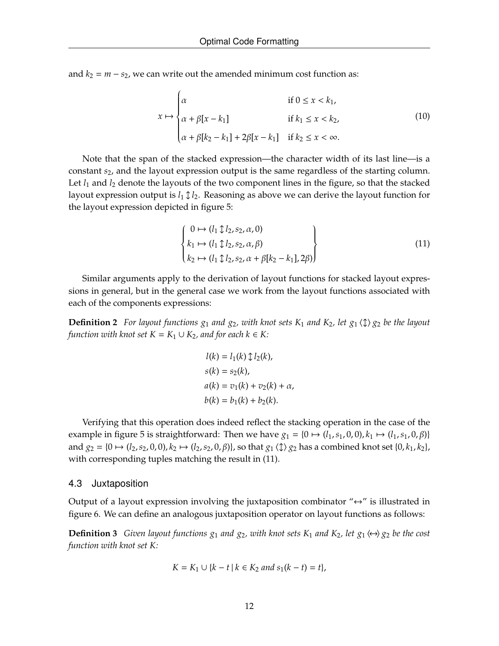and  $k_2 = m - s_2$ , we can write out the amended minimum cost function as:

$$
x \mapsto \begin{cases} \alpha & \text{if } 0 \le x < k_1, \\ \alpha + \beta[x - k_1] & \text{if } k_1 \le x < k_2, \\ \alpha + \beta[k_2 - k_1] + 2\beta[x - k_1] & \text{if } k_2 \le x < \infty. \end{cases} \tag{10}
$$

Note that the span of the stacked expression—the character width of its last line—is a constant *s*2, and the layout expression output is the same regardless of the starting column. Let  $l_1$  and  $l_2$  denote the layouts of the two component lines in the figure, so that the stacked layout expression output is  $l_1 \mathcal{L}_2$ . Reasoning as above we can derive the layout function for the layout expression depicted in figure 5:

$$
\begin{Bmatrix}\n0 \mapsto (l_1 \updownarrow l_2, s_2, \alpha, 0) \\
k_1 \mapsto (l_1 \updownarrow l_2, s_2, \alpha, \beta) \\
k_2 \mapsto (l_1 \updownarrow l_2, s_2, \alpha + \beta[k_2 - k_1], 2\beta)\n\end{Bmatrix}
$$
\n(11)

Similar arguments apply to the derivation of layout functions for stacked layout expressions in general, but in the general case we work from the layout functions associated with each of the components expressions:

**Definition 2** *For layout functions*  $g_1$  *and*  $g_2$ *, with knot sets*  $K_1$  *and*  $K_2$ *, let*  $g_1 \langle \updownarrow \rangle g_2$  *be the layout function with knot set*  $K = K_1 \cup K_2$ *, and for each*  $k \in K$ *:* 

$$
l(k) = l_1(k) \updownarrow l_2(k),
$$
  
\n
$$
s(k) = s_2(k),
$$
  
\n
$$
a(k) = v_1(k) + v_2(k) + \alpha,
$$
  
\n
$$
b(k) = b_1(k) + b_2(k).
$$

Verifying that this operation does indeed reflect the stacking operation in the case of the example in figure 5 is straightforward: Then we have  $g_1 = \{0 \mapsto (l_1, s_1, 0, 0), k_1 \mapsto (l_1, s_1, 0, \beta)\}$ and  $g_2 = \{0 \mapsto (l_2, s_2, 0, 0), k_2 \mapsto (l_2, s_2, 0, \beta)\}\$ , so that  $g_1 \langle \updownarrow \rangle g_2$  has a combined knot set  $\{0, k_1, k_2\}\$ , with corresponding tuples matching the result in  $(11)$ .

#### 4.3 Juxtaposition

Output of a layout expression involving the juxtaposition combinator " $\leftrightarrow$ " is illustrated in figure 6. We can define an analogous juxtaposition operator on layout functions as follows:

**Definition 3** *Given layout functions*  $g_1$  *and*  $g_2$ *, with knot sets*  $K_1$  *and*  $K_2$ *, let*  $g_1 \leftrightarrow g_2$  *be the cost function with knot set K:*

$$
K = K_1 \cup \{k - t \mid k \in K_2 \text{ and } s_1(k - t) = t\},
$$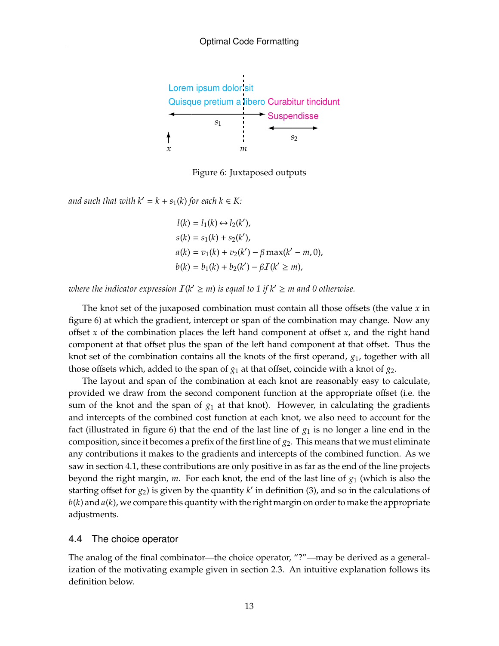

Figure 6: Juxtaposed outputs

*and such that with*  $k' = k + s_1(k)$  *for each*  $k \in K$ :

 $l(k) = l_1(k) \leftrightarrow l_2(k'),$  $s(k) = s_1(k) + s_2(k')$ ,  $a(k) = v_1(k) + v_2(k') - \beta \max(k' - m, 0),$  $b(k) = b_1(k) + b_2(k') - \beta I(k' \ge m),$ 

*where the indicator expression*  $I(k' \geq m)$  *is equal to 1 if*  $k' \geq m$  *and 0 otherwise.* 

The knot set of the juxaposed combination must contain all those offsets (the value *x* in figure 6) at which the gradient, intercept or span of the combination may change. Now any offset *x* of the combination places the left hand component at offset *x*, and the right hand component at that offset plus the span of the left hand component at that offset. Thus the knot set of the combination contains all the knots of the first operand, *g*1, together with all those offsets which, added to the span of  $g_1$  at that offset, coincide with a knot of  $g_2$ .

The layout and span of the combination at each knot are reasonably easy to calculate, provided we draw from the second component function at the appropriate offset (i.e. the sum of the knot and the span of  $g_1$  at that knot). However, in calculating the gradients and intercepts of the combined cost function at each knot, we also need to account for the fact (illustrated in figure 6) that the end of the last line of  $g_1$  is no longer a line end in the composition, since it becomes a prefix of the first line of *g*2. This means that we must eliminate any contributions it makes to the gradients and intercepts of the combined function. As we saw in section 4.1, these contributions are only positive in as far as the end of the line projects beyond the right margin, *m*. For each knot, the end of the last line of *g*<sup>1</sup> (which is also the starting offset for  $g_2$ ) is given by the quantity  $k'$  in definition (3), and so in the calculations of *b*(*k*) and *a*(*k*), we compare this quantity with the right margin on order to make the appropriate adjustments.

#### 4.4 The choice operator

The analog of the final combinator—the choice operator, "?"—may be derived as a generalization of the motivating example given in section 2.3. An intuitive explanation follows its definition below.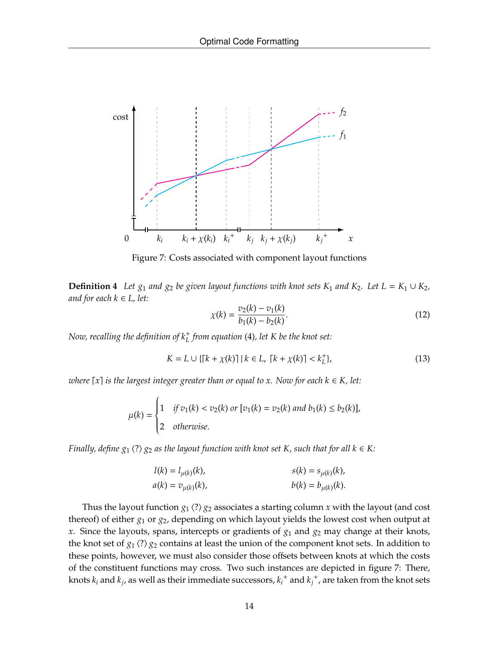

Figure 7: Costs associated with component layout functions

**Definition 4** *Let*  $g_1$  *and*  $g_2$  *be given layout functions with knot sets*  $K_1$  *and*  $K_2$ *. Let*  $L = K_1 \cup K_2$ *, and for each k* ∈ *L, let:*

$$
\chi(k) = \frac{v_2(k) - v_1(k)}{b_1(k) - b_2(k)}.
$$
\n(12)

*Now, recalling the definition of k*<sup>+</sup> *L from equation* (4)*, let K be the knot set:*

$$
K = L \cup \{ [k + \chi(k)] \mid k \in L, \ [k + \chi(k)] < k_L^+ \},\tag{13}
$$

*where*  $\lceil x \rceil$  *is the largest integer greater than or equal to x. Now for each*  $k \in K$ *, let:* 

$$
\mu(k) = \begin{cases} 1 & \text{if } v_1(k) < v_2(k) \text{ or } [v_1(k) = v_2(k) \text{ and } b_1(k) \le b_2(k)], \\ 2 & \text{otherwise.} \end{cases}
$$

*Finally, define*  $g_1$   $\langle ? \rangle$   $g_2$  *as the layout function with knot set K, such that for all k*  $\in$  *K:* 

$$
l(k) = l_{\mu(k)}(k), \n a(k) = v_{\mu(k)}(k), \n b(k) = b_{\mu(k)}(k).
$$
\n(k) = b\_{\mu(k)}(k).

Thus the layout function  $g_1 \langle ? \rangle g_2$  associates a starting column *x* with the layout (and cost thereof) of either *g*<sup>1</sup> or *g*2, depending on which layout yields the lowest cost when output at  $x$ . Since the layouts, spans, intercepts or gradients of  $g_1$  and  $g_2$  may change at their knots, the knot set of  $g_1 \langle ? \rangle g_2$  contains at least the union of the component knot sets. In addition to these points, however, we must also consider those offsets between knots at which the costs of the constituent functions may cross. Two such instances are depicted in figure 7: There, knots  $k_i$  and  $k_j$ , as well as their immediate successors,  $k_i^+$  and  $k_j^+$ , are taken from the knot sets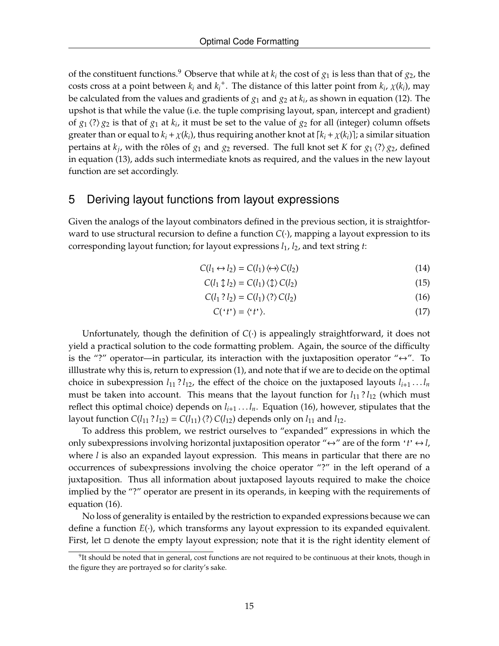of the constituent functions.<sup>9</sup> Observe that while at  $k_i$  the cost of  $g_1$  is less than that of  $g_2$ , the costs cross at a point between  $k_i$  and  $k_i^+$ . The distance of this latter point from  $k_i$ ,  $\chi(k_i)$ , may be calculated from the values and gradients of *g*<sup>1</sup> and *g*<sup>2</sup> at *k<sup>i</sup>* , as shown in equation (12). The upshot is that while the value (i.e. the tuple comprising layout, span, intercept and gradient) of  $g_1$   $\langle ? \rangle$   $g_2$  is that of  $g_1$  at  $k_i$ , it must be set to the value of  $g_2$  for all (integer) column offsets greater than or equal to  $k_i + \chi(k_i)$ , thus requiring another knot at  $[k_i + \chi(k_i)]$ ; a similar situation pertains at  $k_j$ , with the rôles of  $g_1$  and  $g_2$  reversed. The full knot set *K* for  $g_1 \langle ? \rangle g_2$ , defined in equation (13), adds such intermediate knots as required, and the values in the new layout function are set accordingly.

### 5 Deriving layout functions from layout expressions

Given the analogs of the layout combinators defined in the previous section, it is straightforward to use structural recursion to define a function *C*(·), mapping a layout expression to its corresponding layout function; for layout expressions *l*1, *l*2, and text string *t*:

$$
C(l_1 \leftrightarrow l_2) = C(l_1) \langle \leftrightarrow \rangle C(l_2)
$$
\n(14)

$$
C(l_1 \updownarrow l_2) = C(l_1) \langle \updownarrow \rangle C(l_2)
$$
\n(15)

$$
C(l_1 ? l_2) = C(l_1) \langle ? \rangle C(l_2)
$$
\n
$$
(16)
$$

$$
C('t') = \langle 't' \rangle. \tag{17}
$$

Unfortunately, though the definition of *C*(·) is appealingly straightforward, it does not yield a practical solution to the code formatting problem. Again, the source of the difficulty is the "?" operator—in particular, its interaction with the juxtaposition operator " $leftrightarrow$ ". To illlustrate why this is, return to expression (1), and note that if we are to decide on the optimal choice in subexpression  $l_{11}$ ?  $l_{12}$ , the effect of the choice on the juxtaposed layouts  $l_{i+1}$ ...  $l_n$ must be taken into account. This means that the layout function for  $l_{11}$ ?  $l_{12}$  (which must reflect this optimal choice) depends on *li*+<sup>1</sup> . . . *ln*. Equation (16), however, stipulates that the layout function  $C(l_{11} ? l_{12}) = C(l_{11}) \langle ? \rangle C(l_{12})$  depends only on  $l_{11}$  and  $l_{12}$ .

To address this problem, we restrict ourselves to "expanded" expressions in which the only subexpressions involving horizontal juxtaposition operator " $\leftrightarrow$ " are of the form '*t*' $\leftrightarrow$ *l*, where *l* is also an expanded layout expression. This means in particular that there are no occurrences of subexpressions involving the choice operator "?" in the left operand of a juxtaposition. Thus all information about juxtaposed layouts required to make the choice implied by the "?" operator are present in its operands, in keeping with the requirements of equation (16).

No loss of generality is entailed by the restriction to expanded expressions because we can define a function *E*(·), which transforms any layout expression to its expanded equivalent. First, let  $\Box$  denote the empty layout expression; note that it is the right identity element of

 $9$ It should be noted that in general, cost functions are not required to be continuous at their knots, though in the figure they are portrayed so for clarity's sake.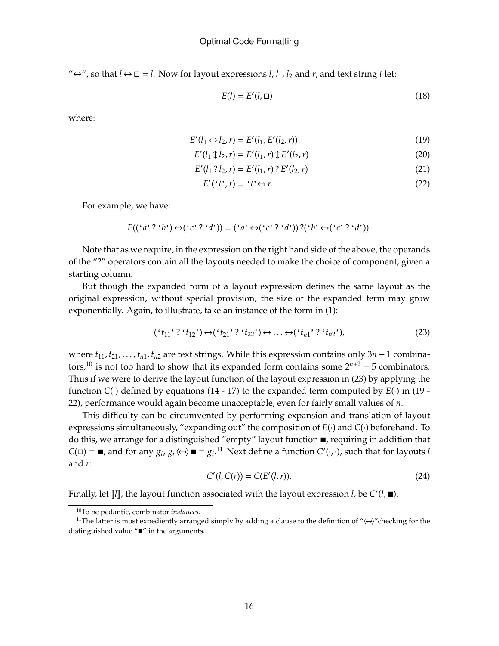" $\Leftrightarrow$ ", so that *l*  $\leftrightarrow$  □ = *l*. Now for layout expressions *l*, *l*<sub>1</sub>, *l*<sub>2</sub> and *r*, and text string *t* let:

$$
E(l) = E'(l, \Box) \tag{18}
$$

where:

$$
E'(l_1 \leftrightarrow l_2, r) = E'(l_1, E'(l_2, r))
$$
\n(19)

$$
E'(l_1 \updownarrow l_2, r) = E'(l_1, r) \updownarrow E'(l_2, r)
$$
\n(20)

$$
E'(l_1 ? l_2, r) = E'(l_1, r) ? E'(l_2, r)
$$
\n(21)

$$
E'('t',r) = 't' \leftrightarrow r. \tag{22}
$$

For example, we have:

$$
E((f \cdot a' \cdot 2 \cdot b') \leftrightarrow (f \cdot c' \cdot 2 \cdot d')) = (f \cdot a' \leftrightarrow (f \cdot c' \cdot 2 \cdot d')) \cdot (f \cdot b' \leftrightarrow (f \cdot c' \cdot 2 \cdot d')).
$$

Note that as we require, in the expression on the right hand side of the above, the operands of the "?" operators contain all the layouts needed to make the choice of component, given a starting column.

But though the expanded form of a layout expression defines the same layout as the original expression, without special provision, the size of the expanded term may grow exponentially. Again, to illustrate, take an instance of the form in (1):

$$
(`t_{11}`?`t_{12}) \leftrightarrow(`t_{21}`?`t_{22'}) \leftrightarrow \dots \leftrightarrow(`t_{n1}`?`t_{n2'}),
$$
\n(23)

where  $t_{11}, t_{21}, \ldots, t_{n1}, t_{n2}$  are text strings. While this expression contains only  $3n - 1$  combinators,<sup>10</sup> is not too hard to show that its expanded form contains some  $2^{n+2}$  – 5 combinators. Thus if we were to derive the layout function of the layout expression in (23) by applying the function  $C(\cdot)$  defined by equations (14 - 17) to the expanded term computed by  $E(\cdot)$  in (19 -22), performance would again become unacceptable, even for fairly small values of *n*.

This difficulty can be circumvented by performing expansion and translation of layout expressions simultaneously, "expanding out" the composition of *E*(·) and *C*(·) beforehand. To do this, we arrange for a distinguished "empty" layout function  $\blacksquare$ , requiring in addition that  $C(\Box) = \blacksquare$ , and for any  $g_i$ ,  $g_i \leftrightarrow \blacksquare = g_i$ .<sup>11</sup> Next define a function  $C'(\cdot, \cdot)$ , such that for layouts *l* and *r*:

$$
C'(l, C(r)) = C(E'(l, r)).
$$
\n(24)

Finally, let  $\llbracket l \rrbracket$ , the layout function associated with the layout expression *l*, be  $C'(l, \blacksquare)$ .

<sup>10</sup>To be pedantic, combinator *instances*.

<sup>&</sup>lt;sup>11</sup>The latter is most expediently arranged simply by adding a clause to the definition of " $\leftrightarrow$ "checking for the distinguished value " $\blacksquare$ " in the arguments.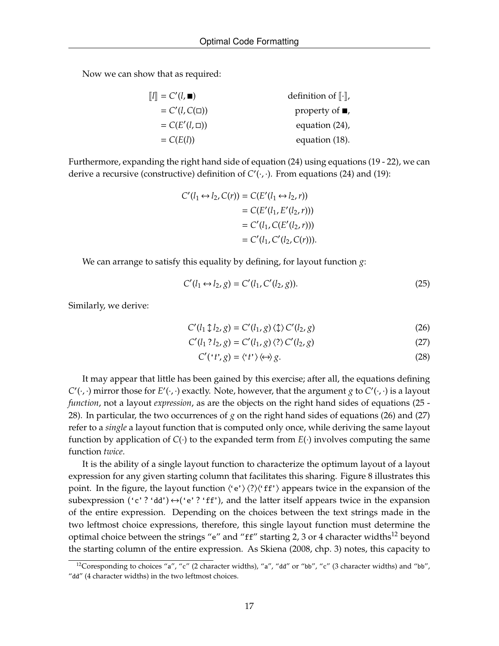Now we can show that as required:

| $\llbracket l \rrbracket = C'(l, \blacksquare)$ | definition of $\lbrack \cdot \rbrack$ , |
|-------------------------------------------------|-----------------------------------------|
| $= C'(l, C(\square))$                           | property of $\blacksquare$ ,            |
| $= C(E'(l,\Box))$                               | equation $(24)$ ,                       |
| $= C(E(l))$                                     | equation (18).                          |

Furthermore, expanding the right hand side of equation (24) using equations (19 - 22), we can derive a recursive (constructive) definition of  $C'(\cdot, \cdot)$ . From equations (24) and (19):

$$
C'(l_1 \leftrightarrow l_2, C(r)) = C(E'(l_1 \leftrightarrow l_2, r))
$$
  
= C(E'(l\_1, E'(l\_2, r)))  
= C'(l\_1, C(E'(l\_2, r)))  
= C'(l\_1, C'(l\_2, C(r))).

We can arrange to satisfy this equality by defining, for layout function *g*:

$$
C'(l_1 \leftrightarrow l_2, g) = C'(l_1, C'(l_2, g)).
$$
\n(25)

Similarly, we derive:

$$
C'(l_1 \updownarrow l_2, g) = C'(l_1, g) \langle \updownarrow \rangle C'(l_2, g)
$$
\n(26)

$$
C'(l_1 ? l_2, g) = C'(l_1, g) \langle ? \rangle C'(l_2, g)
$$
\n
$$
(27)
$$

$$
C'("t", g) = \langle "t"\rangle \langle \leftrightarrow \rangle g. \tag{28}
$$

It may appear that little has been gained by this exercise; after all, the equations defining  $C'(\cdot, \cdot)$  mirror those for  $E'(\cdot, \cdot)$  exactly. Note, however, that the argument *g* to  $C'(\cdot, \cdot)$  is a layout *function*, not a layout *expression*, as are the objects on the right hand sides of equations (25 - 28). In particular, the two occurrences of *g* on the right hand sides of equations (26) and (27) refer to a *single* a layout function that is computed only once, while deriving the same layout function by application of  $C(\cdot)$  to the expanded term from  $E(\cdot)$  involves computing the same function *twice*.

It is the ability of a single layout function to characterize the optimum layout of a layout expression for any given starting column that facilitates this sharing. Figure 8 illustrates this point. In the figure, the layout function  $\langle 'e' \rangle \langle ? \rangle \langle 'ff' \rangle$  appears twice in the expansion of the subexpression ('c' ? 'dd')  $\leftrightarrow$  ('e' ? 'ff'), and the latter itself appears twice in the expansion of the entire expression. Depending on the choices between the text strings made in the two leftmost choice expressions, therefore, this single layout function must determine the optimal choice between the strings "e" and "ff" starting 2, 3 or 4 character widths<sup>12</sup> beyond the starting column of the entire expression. As Skiena (2008, chp. 3) notes, this capacity to

<sup>&</sup>lt;sup>12</sup>Coresponding to choices "a", "c" (2 character widths), "a", "dd" or "bb", "c" (3 character widths) and "bb", "dd" (4 character widths) in the two leftmost choices.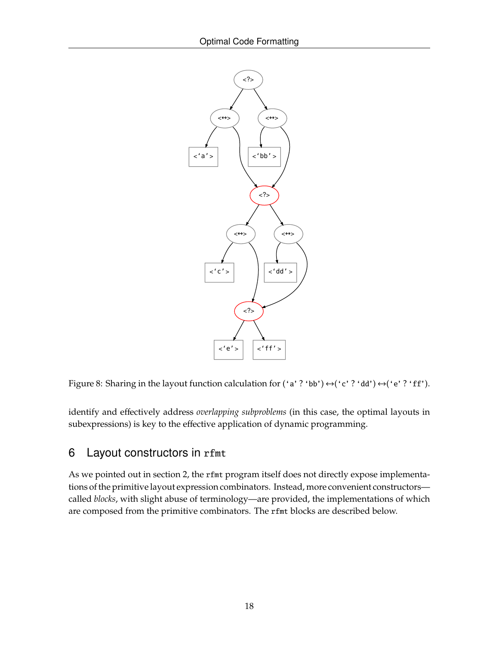

Figure 8: Sharing in the layout function calculation for ('a' ? 'bb')  $\leftrightarrow$  ('c' ? 'dd')  $\leftrightarrow$  ('e' ? 'ff').

identify and effectively address *overlapping subproblems* (in this case, the optimal layouts in subexpressions) is key to the effective application of dynamic programming.

# 6 Layout constructors in rfmt

As we pointed out in section 2, the rfmt program itself does not directly expose implementations of the primitive layout expression combinators. Instead, more convenient constructors called *blocks*, with slight abuse of terminology—are provided, the implementations of which are composed from the primitive combinators. The rfmt blocks are described below.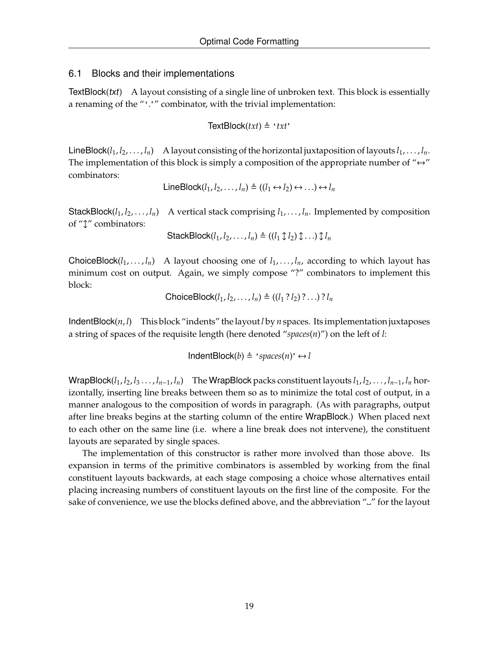### 6.1 Blocks and their implementations

TextBlock(txt) A layout consisting of a single line of unbroken text. This block is essentially a renaming of the "'.'" combinator, with the trivial implementation:

$$
TextBlock(txt) \triangleq 'txt'
$$

LineBlock $(l_1, l_2, \ldots, l_n)$  A layout consisting of the horizontal juxtaposition of layouts  $l_1, \ldots, l_n$ . The implementation of this block is simply a composition of the appropriate number of " $\leftrightarrow$ " combinators:

LineBlock( $l_1, l_2, ..., l_n$ ) ≜ (( $l_1 \leftrightarrow l_2$ ) ↔ ...) ↔  $l_n$ 

StackBlock $(l_1, l_2, \ldots, l_n)$  A vertical stack comprising  $l_1, \ldots, l_n$ . Implemented by composition of " $\updownarrow$ " combinators:

StackBlock $(l_1, l_2, \ldots, l_n) \triangleq ((l_1 \updownarrow l_2) \updownarrow \ldots) \updownarrow l_n$ 

ChoiceBlock( $l_1, \ldots, l_n$ ) A layout choosing one of  $l_1, \ldots, l_n$ , according to which layout has minimum cost on output. Again, we simply compose "?" combinators to implement this block:

ChoiceBlock $(l_1, l_2, ..., l_n) \triangleq ((l_1 ? l_2) ? ... ) ? l_n$ 

IndentBlock(*n*, *l*) This block "indents" the layout*l* by *n* spaces. Its implementation juxtaposes a string of spaces of the requisite length (here denoted "*spaces*(*n*)") on the left of *l*:

 $IndentBlock(b) \triangleq 'spaces(n)' \leftrightarrow l$ 

WrapBlock( $l_1, l_2, l_3, \ldots, l_{n-1}, l_n$ ) The WrapBlock packs constituent layouts  $l_1, l_2, \ldots, l_{n-1}, l_n$  horizontally, inserting line breaks between them so as to minimize the total cost of output, in a manner analogous to the composition of words in paragraph. (As with paragraphs, output after line breaks begins at the starting column of the entire WrapBlock.) When placed next to each other on the same line (i.e. where a line break does not intervene), the constituent layouts are separated by single spaces.

The implementation of this constructor is rather more involved than those above. Its expansion in terms of the primitive combinators is assembled by working from the final constituent layouts backwards, at each stage composing a choice whose alternatives entail placing increasing numbers of constituent layouts on the first line of the composite. For the sake of convenience, we use the blocks defined above, and the abbreviation """ for the layout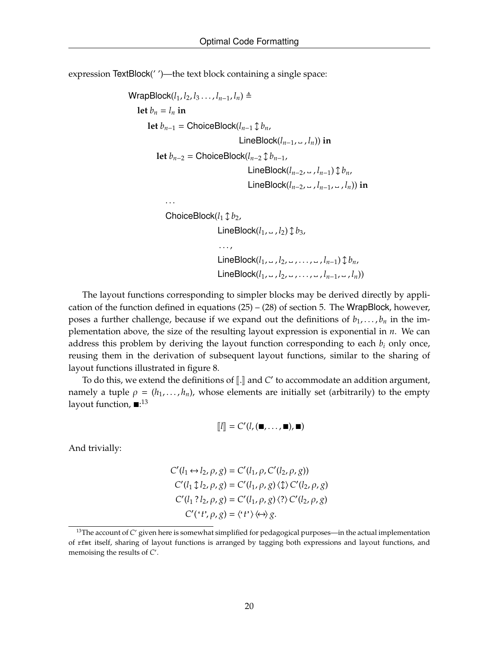expression TextBlock(' ')—the text block containing a single space:

```
WrapBlock(l_1, l_2, l_3, ..., l_{n-1}, l_n) \triangleqlet b_n = l_n in
       let b_{n-1} = ChoiceBlock(l_{n-1} ↓ b_n,
                                          LineBlock(l_{n-1}, \_, l_n)) in
          let b_{n-2} = ChoiceBlock(l_{n-2} ↓ b_{n-1},
                                             LineBlock(l_{n-2}, \_, l_{n-1}) \updownarrow b_n,
                                             LineBlock(l_{n-2}, → l_{n-1}, → l_n)) in
              . . .
              ChoiceBlock(l_1 \uparrow b_2),
                                  LineBlock(l_1, ..., l_2) \updownarrow b_3,
                                  . . . ,
                                  LineBlock(l_1, ∪, l_2, ∪, …, ∪, l_{n-1}) \updownarrow b_n,
                                  LineBlock(l_1, ∪, l_2, ∪, ..., ∪, l_{n-1}, ∪, l_n))
```
The layout functions corresponding to simpler blocks may be derived directly by application of the function defined in equations  $(25) - (28)$  of section 5. The WrapBlock, however, poses a further challenge, because if we expand out the definitions of  $b_1, \ldots, b_n$  in the implementation above, the size of the resulting layout expression is exponential in *n*. We can address this problem by deriving the layout function corresponding to each  $b_i$  only once, reusing them in the derivation of subsequent layout functions, similar to the sharing of layout functions illustrated in figure 8.

To do this, we extend the definitions of [*I*.] and *C'* to accommodate an addition argument, namely a tuple  $\rho = (h_1, \ldots, h_n)$ , whose elements are initially set (arbitrarily) to the empty layout function,  $\blacksquare$ :<sup>13</sup>

$$
[\![l]\!]=C'(l,(\blacksquare,\ldots,\blacksquare),\blacksquare)
$$

And trivially:

$$
C'(l_1 \leftrightarrow l_2, \rho, g) = C'(l_1, \rho, C'(l_2, \rho, g))
$$
  
\n
$$
C'(l_1 \updownarrow l_2, \rho, g) = C'(l_1, \rho, g) \langle \updownarrow \rangle C'(l_2, \rho, g)
$$
  
\n
$$
C'(l_1 ? l_2, \rho, g) = C'(l_1, \rho, g) \langle ? \rangle C'(l_2, \rho, g)
$$
  
\n
$$
C'(t'; \rho, g) = \langle t' \rangle \langle \leftrightarrow \rangle g.
$$

<sup>&</sup>lt;sup>13</sup>The account of *C'* given here is somewhat simplified for pedagogical purposes—in the actual implementation of rfmt itself, sharing of layout functions is arranged by tagging both expressions and layout functions, and memoising the results of C'.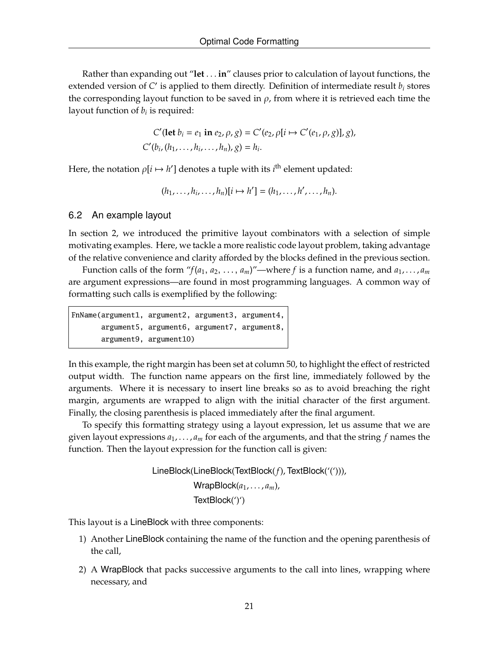Rather than expanding out "**let** . . . **in**" clauses prior to calculation of layout functions, the extended version of  $C'$  is applied to them directly. Definition of intermediate result  $b_i$  stores the corresponding layout function to be saved in  $\rho$ , from where it is retrieved each time the layout function of *b<sup>i</sup>* is required:

$$
C'(\text{let } b_i = e_1 \text{ in } e_2, \rho, g) = C'(e_2, \rho[i \mapsto C'(e_1, \rho, g)], g),
$$
  

$$
C'(b_i, (h_1, \ldots, h_i, \ldots, h_n), g) = h_i.
$$

Here, the notation  $\rho[i \mapsto h']$  denotes a tuple with its *i*<sup>th</sup> element updated:

$$
(h_1,\ldots,h_i,\ldots,h_n)[i\mapsto h']=(h_1,\ldots,h',\ldots,h_n).
$$

### 6.2 An example layout

In section 2, we introduced the primitive layout combinators with a selection of simple motivating examples. Here, we tackle a more realistic code layout problem, taking advantage of the relative convenience and clarity afforded by the blocks defined in the previous section.

Function calls of the form " $f(a_1, a_2, \ldots, a_m)$ "—where f is a function name, and  $a_1, \ldots, a_m$ are argument expressions—are found in most programming languages. A common way of formatting such calls is exemplified by the following:

```
FnName(argument1, argument2, argument3, argument4,
       argument5, argument6, argument7, argument8,
       argument9, argument10)
```
In this example, the right margin has been set at column 50, to highlight the effect of restricted output width. The function name appears on the first line, immediately followed by the arguments. Where it is necessary to insert line breaks so as to avoid breaching the right margin, arguments are wrapped to align with the initial character of the first argument. Finally, the closing parenthesis is placed immediately after the final argument.

To specify this formatting strategy using a layout expression, let us assume that we are given layout expressions *a*1, . . . , *a<sup>m</sup>* for each of the arguments, and that the string *f* names the function. Then the layout expression for the function call is given:

> LineBlock(LineBlock(TextBlock(*f*), TextBlock('('))), WrapBlock(*a*1, . . . , *am*), TextBlock(')')

This layout is a LineBlock with three components:

- 1) Another LineBlock containing the name of the function and the opening parenthesis of the call,
- 2) A WrapBlock that packs successive arguments to the call into lines, wrapping where necessary, and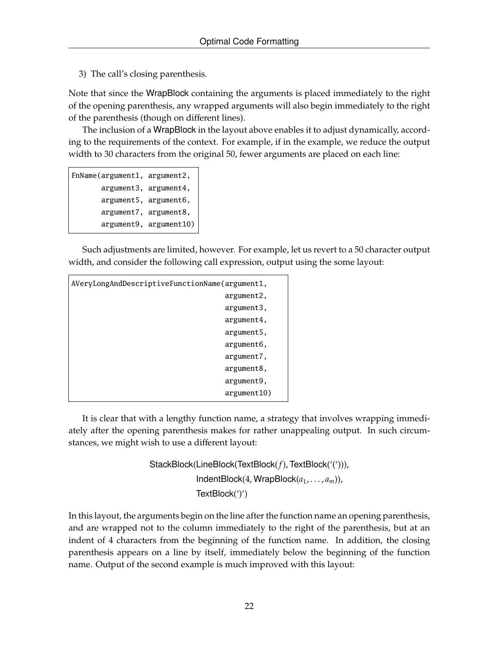3) The call's closing parenthesis.

Note that since the WrapBlock containing the arguments is placed immediately to the right of the opening parenthesis, any wrapped arguments will also begin immediately to the right of the parenthesis (though on different lines).

The inclusion of a WrapBlock in the layout above enables it to adjust dynamically, according to the requirements of the context. For example, if in the example, we reduce the output width to 30 characters from the original 50, fewer arguments are placed on each line:

```
FnName(argument1, argument2,
       argument3, argument4,
       argument5, argument6,
       argument7, argument8,
       argument9, argument10)
```
Such adjustments are limited, however. For example, let us revert to a 50 character output width, and consider the following call expression, output using the some layout:

| AVeryLongAndDescriptiveFunctionName(argument1, |  |
|------------------------------------------------|--|
| argument2.                                     |  |
| argument3,                                     |  |
| argument4,                                     |  |
| argument5,                                     |  |
| argument6,                                     |  |
| argument7,                                     |  |
| argument8,                                     |  |
| argument9,                                     |  |
| argument10)                                    |  |

It is clear that with a lengthy function name, a strategy that involves wrapping immediately after the opening parenthesis makes for rather unappealing output. In such circumstances, we might wish to use a different layout:

```
StackBlock(LineBlock(TextBlock(f), TextBlock('('))),
             IndentBlock(4, WrapBlock(a1, . . . , am)),
             TextBlock(')')
```
In this layout, the arguments begin on the line after the function name an opening parenthesis, and are wrapped not to the column immediately to the right of the parenthesis, but at an indent of 4 characters from the beginning of the function name. In addition, the closing parenthesis appears on a line by itself, immediately below the beginning of the function name. Output of the second example is much improved with this layout: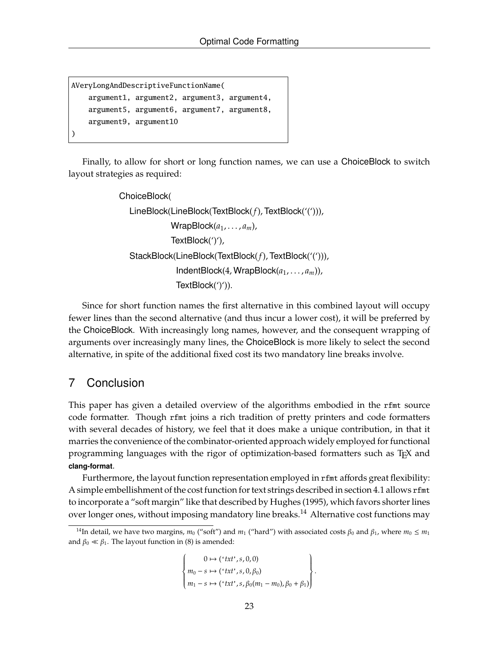```
AVeryLongAndDescriptiveFunctionName(
   argument1, argument2, argument3, argument4,
   argument5, argument6, argument7, argument8,
   argument9, argument10
)
```
Finally, to allow for short or long function names, we can use a ChoiceBlock to switch layout strategies as required:

```
ChoiceBlock(
  LineBlock(LineBlock(TextBlock(f), TextBlock('('))),
              WrapBlock(a1, . . . , am),
              TextBlock(')'),
   StackBlock(LineBlock(TextBlock(f), TextBlock('('))),
               IndentBlock(4, WrapBlock(a1, . . . , am)),
               TextBlock(')')).
```
Since for short function names the first alternative in this combined layout will occupy fewer lines than the second alternative (and thus incur a lower cost), it will be preferred by the ChoiceBlock. With increasingly long names, however, and the consequent wrapping of arguments over increasingly many lines, the ChoiceBlock is more likely to select the second alternative, in spite of the additional fixed cost its two mandatory line breaks involve.

# 7 Conclusion

This paper has given a detailed overview of the algorithms embodied in the rfmt source code formatter. Though rfmt joins a rich tradition of pretty printers and code formatters with several decades of history, we feel that it does make a unique contribution, in that it marries the convenience of the combinator-oriented approach widely employed for functional programming languages with the rigor of optimization-based formatters such as TEX and **clang-format**.

Furthermore, the layout function representation employed in rfmt affords great flexibility: A simple embellishment of the cost function for text strings described in section 4.1 allows rfmt to incorporate a "soft margin" like that described by Hughes (1995), which favors shorter lines over longer ones, without imposing mandatory line breaks.<sup>14</sup> Alternative cost functions may

 0 7→ ('*txt*',*s*, 0, 0) *m*<sup>0</sup> − *s* 7→ ('*txt*',*s*, 0, β0) *m*<sup>1</sup> − *s* 7→ ('*txt*',*s*, β0(*m*<sup>1</sup> − *m*0), β<sup>0</sup> + β1) .

<sup>&</sup>lt;sup>14</sup>In detail, we have two margins,  $m_0$  ("soft") and  $m_1$  ("hard") with associated costs  $\beta_0$  and  $\beta_1$ , where  $m_0 \le m_1$ and  $\beta_0 \ll \beta_1$ . The layout function in (8) is amended: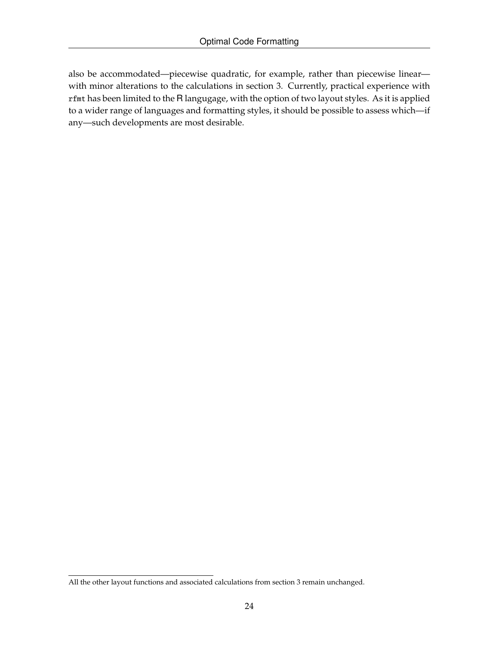also be accommodated—piecewise quadratic, for example, rather than piecewise linear with minor alterations to the calculations in section 3. Currently, practical experience with rfmt has been limited to the R langugage, with the option of two layout styles. As it is applied to a wider range of languages and formatting styles, it should be possible to assess which—if any—such developments are most desirable.

All the other layout functions and associated calculations from section 3 remain unchanged.